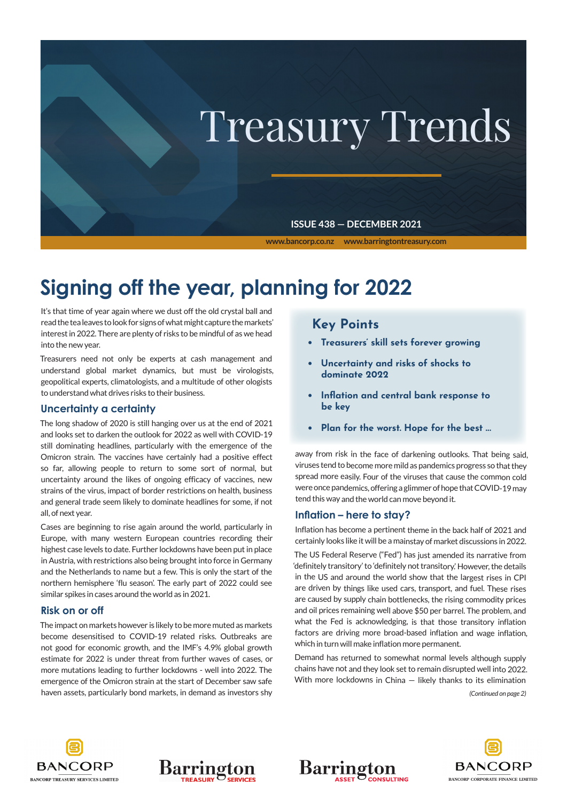

# **Signing off the year, planning for 2022**

It's that time of year again where we dust off the old crystal ball and read the tea leaves to look for signs of what might capture the markets' interest in 2022. There are plenty of risks to be mindful of as we head into the new year.

Treasurers need not only be experts at cash management and understand global market dynamics, but must be virologists, geopolitical experts, climatologists, and a multitude of other ologists to understand what drives risks to their business.

#### **Uncertainty a certainty**

The long shadow of 2020 is still hanging over us at the end of 2021 and looks set to darken the outlook for 2022 as well with COVID-19 still dominating headlines, particularly with the emergence of the Omicron strain. The vaccines have certainly had a positive effect so far, allowing people to return to some sort of normal, but uncertainty around the likes of ongoing efficacy of vaccines, new strains of the virus, impact of border restrictions on health, business and general trade seem likely to dominate headlines for some, if not all, of next year.

Cases are beginning to rise again around the world, particularly in Europe, with many western European countries recording their highest case levels to date. Further lockdowns have been put in place in Austria, with restrictions also being brought into force in Germany and the Netherlands to name but a few. This is only the start of the northern hemisphere 'flu season'. The early part of 2022 could see similar spikes in cases around the world as in 2021.

#### **Risk on or off**

The impact on markets however is likely to be more muted as markets become desensitised to COVID-19 related risks. Outbreaks are not good for economic growth, and the IMF's 4.9% global growth estimate for 2022 is under threat from further waves of cases, or more mutations leading to further lockdowns - well into 2022. The emergence of the Omicron strain at the start of December saw safe haven assets, particularly bond markets, in demand as investors shy

## **Key Points**

- **• Treasurers' skill sets forever growing**
- **• Uncertainty and risks of shocks to dominate 2022**
- **• Inflation and central bank response to be key**
- **• Plan for the worst. Hope for the best ...**

away from risk in the face of darkening outlooks. That being said, viruses tend to become more mild as pandemics progress so that they spread more easily. Four of the viruses that cause the common cold were once pandemics, offering a glimmer of hope that COVID-19 may tend this way and the world can move beyond it.

#### **Inflation – here to stay?**

Inflation has become a pertinent theme in the back half of 2021 and certainly looks like it will be a mainstay of market discussions in 2022.

The US Federal Reserve ("Fed") has just amended its narrative from 'definitely transitory' to 'definitely not transitory.' However, the details in the US and around the world show that the largest rises in CPI are driven by things like used cars, transport, and fuel. These rises are caused by supply chain bottlenecks, the rising commodity prices and oil prices remaining well above \$50 per barrel. The problem, and what the Fed is acknowledging, is that those transitory inflation factors are driving more broad-based inflation and wage inflation, which in turn will make inflation more permanent.

Demand has returned to somewhat normal levels although supply chains have not and they look set to remain disrupted well into 2022. With more lockdowns in China — likely thanks to its elimination

*(Continued on page 2)*





Barrii